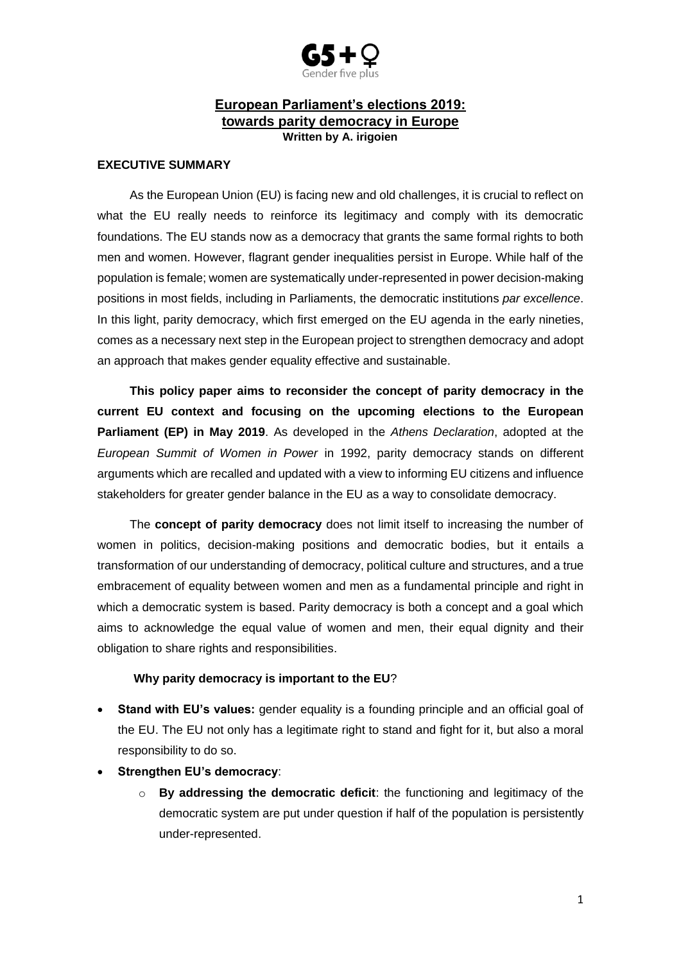

## **European Parliament's elections 2019: towards parity democracy in Europe Written by A. irigoien**

## **EXECUTIVE SUMMARY**

As the European Union (EU) is facing new and old challenges, it is crucial to reflect on what the EU really needs to reinforce its legitimacy and comply with its democratic foundations. The EU stands now as a democracy that grants the same formal rights to both men and women. However, flagrant gender inequalities persist in Europe. While half of the population is female; women are systematically under-represented in power decision-making positions in most fields, including in Parliaments, the democratic institutions *par excellence*. In this light, parity democracy, which first emerged on the EU agenda in the early nineties, comes as a necessary next step in the European project to strengthen democracy and adopt an approach that makes gender equality effective and sustainable.

**This policy paper aims to reconsider the concept of parity democracy in the current EU context and focusing on the upcoming elections to the European Parliament (EP) in May 2019**. As developed in the *Athens Declaration*, adopted at the *European Summit of Women in Power* in 1992, parity democracy stands on different arguments which are recalled and updated with a view to informing EU citizens and influence stakeholders for greater gender balance in the EU as a way to consolidate democracy.

The **concept of parity democracy** does not limit itself to increasing the number of women in politics, decision-making positions and democratic bodies, but it entails a transformation of our understanding of democracy, political culture and structures, and a true embracement of equality between women and men as a fundamental principle and right in which a democratic system is based. Parity democracy is both a concept and a goal which aims to acknowledge the equal value of women and men, their equal dignity and their obligation to share rights and responsibilities.

## **Why parity democracy is important to the EU**?

- **Stand with EU's values:** gender equality is a founding principle and an official goal of the EU. The EU not only has a legitimate right to stand and fight for it, but also a moral responsibility to do so.
- **Strengthen EU's democracy**:
	- o **By addressing the democratic deficit**: the functioning and legitimacy of the democratic system are put under question if half of the population is persistently under-represented.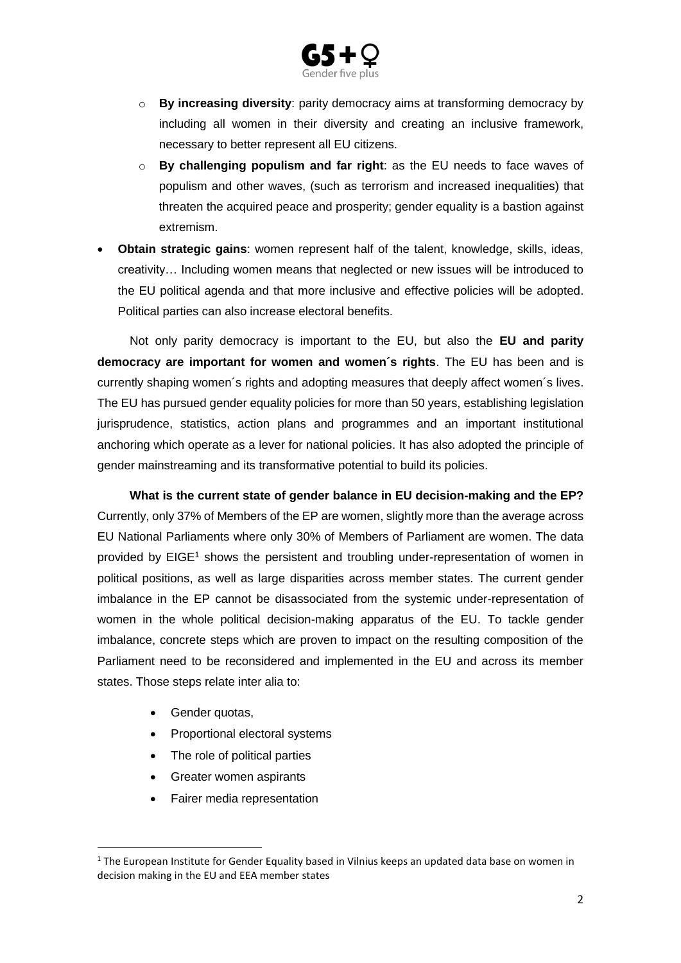

- o **By increasing diversity**: parity democracy aims at transforming democracy by including all women in their diversity and creating an inclusive framework, necessary to better represent all EU citizens.
- o **By challenging populism and far right**: as the EU needs to face waves of populism and other waves, (such as terrorism and increased inequalities) that threaten the acquired peace and prosperity; gender equality is a bastion against extremism.
- **Obtain strategic gains**: women represent half of the talent, knowledge, skills, ideas, creativity… Including women means that neglected or new issues will be introduced to the EU political agenda and that more inclusive and effective policies will be adopted. Political parties can also increase electoral benefits.

Not only parity democracy is important to the EU, but also the **EU and parity democracy are important for women and women´s rights**. The EU has been and is currently shaping women´s rights and adopting measures that deeply affect women´s lives. The EU has pursued gender equality policies for more than 50 years, establishing legislation jurisprudence, statistics, action plans and programmes and an important institutional anchoring which operate as a lever for national policies. It has also adopted the principle of gender mainstreaming and its transformative potential to build its policies.

**What is the current state of gender balance in EU decision-making and the EP?** Currently, only 37% of Members of the EP are women, slightly more than the average across EU National Parliaments where only 30% of Members of Parliament are women. The data provided by EIGE<sup>1</sup> shows the persistent and troubling under-representation of women in political positions, as well as large disparities across member states. The current gender imbalance in the EP cannot be disassociated from the systemic under-representation of women in the whole political decision-making apparatus of the EU. To tackle gender imbalance, concrete steps which are proven to impact on the resulting composition of the Parliament need to be reconsidered and implemented in the EU and across its member states. Those steps relate inter alia to:

• Gender quotas,

**.** 

- Proportional electoral systems
- The role of political parties
- Greater women aspirants
- Fairer media representation

 $1$  The European Institute for Gender Equality based in Vilnius keeps an updated data base on women in decision making in the EU and EEA member states